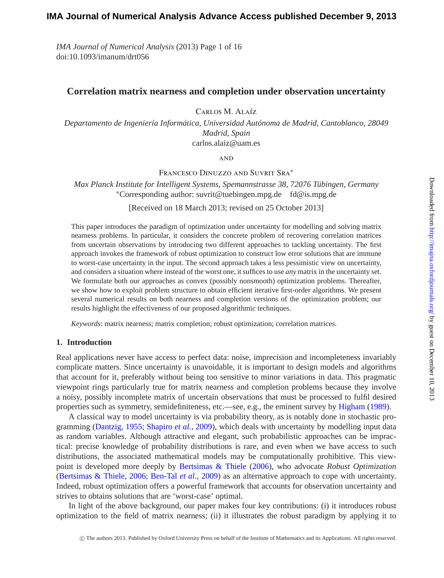*IMA Journal of Numerical Analysis* (2013) Page 1 of 16 doi:10.1093/imanum/drt056

# **Correlation matrix nearness and completion under observation uncertainty**

Carlos M. Alaíz

*Departamento de Ingeniería Informática, Universidad Autónoma de Madrid, Cantoblanco, 28049 Madrid, Spain*

carlos.alaiz@uam.es

**AND** 

Francesco Dinuzzo and Suvrit Sra<sup>∗</sup>

*Max Planck Institute for Intelligent Systems, Spemannstrasse 38, 72076 Tübingen, Germany* <sup>∗</sup>Corresponding author: suvrit@tuebingen.mpg.de fd@is.mpg.de

[Received on 18 March 2013; revised on 25 October 2013]

This paper introduces the paradigm of optimization under uncertainty for modelling and solving matrix nearness problems. In particular, it considers the concrete problem of recovering correlation matrices from uncertain observations by introducing two different approaches to tackling uncertainty. The first approach invokes the framework of robust optimization to construct low error solutions that are immune to worst-case uncertainty in the input. The second approach takes a less pessimistic view on uncertainty, and considers a situation where instead of the worst one, it suffices to use *any* matrix in the uncertainty set. We formulate both our approaches as convex (possibly nonsmooth) optimization problems. Thereafter, we show how to exploit problem structure to obtain efficient iterative first-order algorithms. We present several numerical results on both nearness and completion versions of the optimization problem; our results highlight the effectiveness of our proposed algorithmic techniques.

*Keywords*: matrix nearness; matrix completion; robust optimization; correlation matrices.

## **1. Introduction**

Real applications never have access to perfect data: noise, imprecision and incompleteness invariably complicate matters. Since uncertainty is unavoidable, it is important to design models and algorithms that account for it, preferably without being too sensitive to minor variations in data. This pragmatic viewpoint rings particularly true for matrix nearness and completion problems because they involve a noisy, possibly incomplete matrix of uncertain observations that must be processed to fulfil desired properties such as symmetry, semidefiniteness, etc.—see, e.g., the eminent survey by [Higham](#page-15-0) [\(1989\)](#page-15-0).

A classical way to model uncertainty is via probability theory, as is notably done in stochastic programming [\(Dantzig](#page-14-0), [1955;](#page-14-0) [Shapiro](#page-15-1) *et al.*, [2009](#page-15-1)), which deals with uncertainty by modelling input data as random variables. Although attractive and elegant, such probabilistic approaches can be impractical: precise knowledge of probability distributions is rare, and even when we have access to such distributions, the associated mathematical models may be computationally prohibitive. This viewpoint is developed more deeply by [Bertsimas & Thiele](#page-14-1) [\(2006\)](#page-14-1), who advocate *Robust Optimization* [\(Bertsimas & Thiele,](#page-14-1) [2006](#page-14-1); [Ben-Tal](#page-14-2) *et al.*, [2009](#page-14-2)) as an alternative approach to cope with uncertainty. Indeed, robust optimization offers a powerful framework that accounts for observation uncertainty and strives to obtains solutions that are 'worst-case' optimal.

In light of the above background, our paper makes four key contributions: (i) it introduces robust optimization to the field of matrix nearness; (ii) it illustrates the robust paradigm by applying it to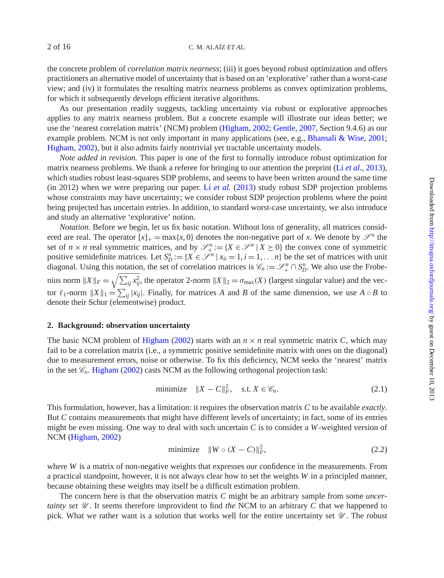the concrete problem of *correlation matrix nearness*; (iii) it goes beyond robust optimization and offers practitioners an alternative model of uncertainty that is based on an 'explorative' rather than a worst-case view; and (iv) it formulates the resulting matrix nearness problems as convex optimization problems, for which it subsequently develops efficient iterative algorithms.

As our presentation readily suggests, tackling uncertainty via robust or explorative approaches applies to any matrix nearness problem. But a concrete example will illustrate our ideas better; we use the 'nearest correlation matrix' (NCM) problem [\(Higham](#page-14-3), [2002;](#page-14-3) [Gentle,](#page-14-4) [2007](#page-14-4), Section 9.4.6) as our example problem. NCM is not only important in many applications (see, e.g., [Bhansali & Wise,](#page-14-5) [2001;](#page-14-5) [Higham](#page-14-3), [2002](#page-14-3)), but it also admits fairly nontrivial yet tractable uncertainty models.

*Note added in revision.* This paper is one of the first to formally introduce robust optimization for matrix nearness problems. We thank a referee for bringing to our attention the preprint (Li *[et al.](#page-15-2)*, [2013\)](#page-15-2), which studies robust least-squares SDP problems, and seems to have been written around the same time (in 2012) when we were preparing our paper. Li *[et al.](#page-15-2)* [\(2013](#page-15-2)) study robust SDP projection problems whose constraints may have uncertainty; we consider robust SDP projection problems where the point being projected has uncertain entries. In addition, to standard worst-case uncertainty, we also introduce and study an alternative 'explorative' notion.

*Notation.* Before we begin, let us fix basic notation. Without loss of generality, all matrices considered are real. The operator  $[x]_+ = \max\{x, 0\}$  denotes the non-negative part of *x*. We denote by  $\mathscr{S}^n$  the set of  $n \times n$  real symmetric matrices, and by  $\mathcal{S}_+^n := \{ X \in \mathcal{S}^n \mid X \succeq 0 \}$  the convex cone of symmetric positive semidefinite matrices. Let  $S_D^n := \{X \in \mathcal{S}^n \mid x_{ii} = 1, i = 1, ..., n\}$  be the set of matrices with unit diagonal. Using this notation, the set of correlation matrices is  $\mathcal{C}_n := \mathcal{S}_+^n \cap S_D^n$ . We also use the Frobenius norm  $||X||_F = \sqrt{\sum_{ij} x_{ij}^2}$ , the operator 2-norm  $||X||_2 = \sigma_{\text{max}}(X)$  (largest singular value) and the vector  $\ell_1$ -norm  $||X||_1 = \sum_{ij} |x_{ij}|$ . Finally, for matrices *A* and *B* of the same dimension, we use  $A \circ B$  to denote their Schur (elementwise) product.

## **2. Background: observation uncertainty**

The basic NCM problem of [Higham](#page-14-3) [\(2002](#page-14-3)) starts with an  $n \times n$  real symmetric matrix *C*, which may fail to be a correlation matrix (i.e., a symmetric positive semidefinite matrix with ones on the diagonal) due to measurement errors, noise or otherwise. To fix this deficiency, NCM seeks the 'nearest' matrix in the set  $\mathcal{C}_n$ . [Higham](#page-14-3) [\(2002\)](#page-14-3) casts NCM as the following orthogonal projection task:

<span id="page-1-0"></span>
$$
\text{minimize} \quad \|X - C\|_F^2, \quad \text{s.t. } X \in \mathcal{C}_n. \tag{2.1}
$$

This formulation, however, has a limitation: it requires the observation matrix *C* to be available *exactly*. But *C* contains measurements that might have different levels of uncertainty; in fact, some of its entries might be even missing. One way to deal with such uncertain *C* is to consider a *W*-weighted version of NCM [\(Higham,](#page-14-3) [2002\)](#page-14-3)

$$
\text{minimize} \quad ||W \circ (X - C)||_F^2,\tag{2.2}
$$

where *W* is a matrix of non-negative weights that expresses our confidence in the measurements. From a practical standpoint, however, it is not always clear how to set the weights *W* in a principled manner, because obtaining these weights may itself be a difficult estimation problem.

The concern here is that the observation matrix *C* might be an arbitrary sample from some *uncertainty set*  $\mathcal{U}$ . It seems therefore improvident to find *the* NCM to an arbitrary C that we happened to pick. What we rather want is a solution that works well for the entire uncertainty set  $\mathcal{U}$ . The robust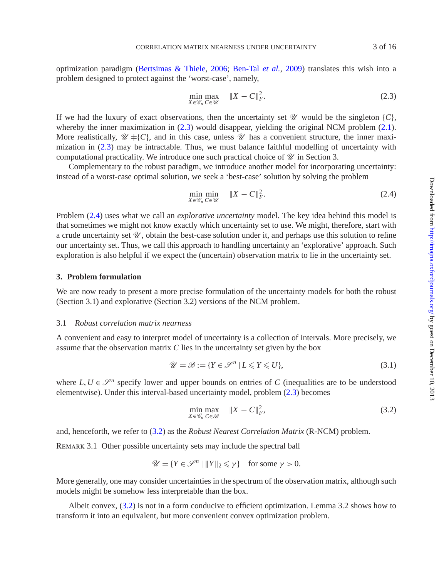optimization paradigm [\(Bertsimas & Thiele](#page-14-1), [2006](#page-14-1); [Ben-Tal](#page-14-2) *et al.*, [2009\)](#page-14-2) translates this wish into a problem designed to protect against the 'worst-case', namely,

<span id="page-2-0"></span>
$$
\min_{X \in \mathscr{C}_n} \max_{C \in \mathscr{U}} \|X - C\|_F^2. \tag{2.3}
$$

If we had the luxury of exact observations, then the uncertainty set  $\mathcal U$  would be the singleton  $\{C\}$ , whereby the inner maximization in  $(2.3)$  would disappear, yielding the original NCM problem  $(2.1)$ . More realistically,  $\mathcal{U} \neq \{C\}$ , and in this case, unless  $\mathcal{U}$  has a convenient structure, the inner maximization in [\(2.3\)](#page-2-0) may be intractable. Thus, we must balance faithful modelling of uncertainty with computational practicality. We introduce one such practical choice of *U* in Section 3.

Complementary to the robust paradigm, we introduce another model for incorporating uncertainty: instead of a worst-case optimal solution, we seek a 'best-case' solution by solving the problem

<span id="page-2-1"></span>
$$
\min_{X \in \mathcal{C}_n} \min_{C \in \mathcal{U}} \|X - C\|_F^2. \tag{2.4}
$$

Problem [\(2.4\)](#page-2-1) uses what we call an *explorative uncertainty* model. The key idea behind this model is that sometimes we might not know exactly which uncertainty set to use. We might, therefore, start with a crude uncertainty set *U* , obtain the best-case solution under it, and perhaps use this solution to refine our uncertainty set. Thus, we call this approach to handling uncertainty an 'explorative' approach. Such exploration is also helpful if we expect the (uncertain) observation matrix to lie in the uncertainty set.

## **3. Problem formulation**

We are now ready to present a more precise formulation of the uncertainty models for both the robust (Section 3.1) and explorative (Section 3.2) versions of the NCM problem.

## 3.1 *Robust correlation matrix nearness*

A convenient and easy to interpret model of uncertainty is a collection of intervals. More precisely, we assume that the observation matrix *C* lies in the uncertainty set given by the box

<span id="page-2-3"></span>
$$
\mathcal{U} = \mathcal{B} := \{ Y \in \mathcal{S}^n \mid L \leqslant Y \leqslant U \},\tag{3.1}
$$

where  $L, U \in \mathcal{S}^n$  specify lower and upper bounds on entries of C (inequalities are to be understood elementwise). Under this interval-based uncertainty model, problem [\(2.3\)](#page-2-0) becomes

<span id="page-2-2"></span>
$$
\min_{X \in \mathscr{C}_n} \max_{C \in \mathscr{B}} \|X - C\|_F^2, \tag{3.2}
$$

and, henceforth, we refer to [\(3.2\)](#page-2-2) as the *Robust Nearest Correlation Matrix* (R-NCM) problem.

Remark 3.1 Other possible uncertainty sets may include the spectral ball

$$
\mathscr{U} = \{ Y \in \mathscr{S}^n \mid \| Y \|_2 \leq \gamma \} \quad \text{for some } \gamma > 0.
$$

More generally, one may consider uncertainties in the spectrum of the observation matrix, although such models might be somehow less interpretable than the box.

Albeit convex, [\(3.2\)](#page-2-2) is not in a form conducive to efficient optimization. Lemma 3.2 shows how to transform it into an equivalent, but more convenient convex optimization problem.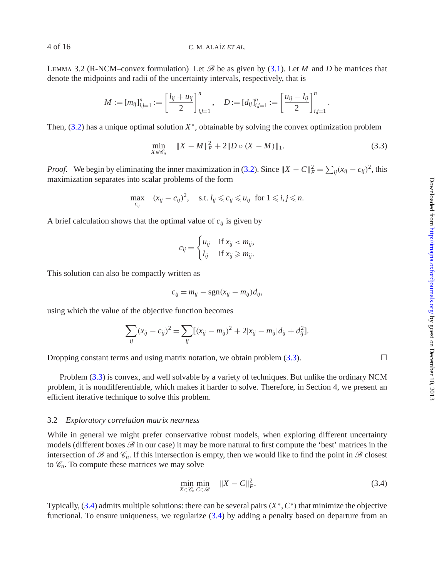Lemma 3.2 (R-NCM–convex formulation) Let *B* be as given by [\(3.1\)](#page-2-3). Let *M* and *D* be matrices that denote the midpoints and radii of the uncertainty intervals, respectively, that is

$$
M := [m_{ij}]_{i,j=1}^n := \left[\frac{l_{ij} + u_{ij}}{2}\right]_{i,j=1}^n, \quad D := [d_{ij}]_{i,j=1}^n := \left[\frac{u_{ij} - l_{ij}}{2}\right]_{i,j=1}^n.
$$

Then,  $(3.2)$  has a unique optimal solution  $X^*$ , obtainable by solving the convex optimization problem

<span id="page-3-0"></span>
$$
\min_{X \in \mathscr{C}_n} \quad \|X - M\|_F^2 + 2\|D \circ (X - M)\|_1. \tag{3.3}
$$

*Proof.* We begin by eliminating the inner maximization in [\(3.2\)](#page-2-2). Since  $||X - C||_F^2 = \sum_{ij} (x_{ij} - c_{ij})^2$ , this maximization separates into scalar problems of the form

$$
\max_{c_{ij}} \quad (x_{ij} - c_{ij})^2, \quad \text{s.t. } l_{ij} \leq c_{ij} \leq u_{ij} \text{ for } 1 \leq i, j \leq n.
$$

A brief calculation shows that the optimal value of *cij* is given by

$$
c_{ij} = \begin{cases} u_{ij} & \text{if } x_{ij} < m_{ij}, \\ l_{ij} & \text{if } x_{ij} \ge m_{ij}. \end{cases}
$$

This solution can also be compactly written as

$$
c_{ij} = m_{ij} - \text{sgn}(x_{ij} - m_{ij})d_{ij},
$$

using which the value of the objective function becomes

$$
\sum_{ij} (x_{ij} - c_{ij})^2 = \sum_{ij} [(x_{ij} - m_{ij})^2 + 2|x_{ij} - m_{ij}|d_{ij} + d_{ij}^2].
$$

Dropping constant terms and using matrix notation, we obtain problem  $(3.3)$ .

Problem [\(3.3\)](#page-3-0) is convex, and well solvable by a variety of techniques. But unlike the ordinary NCM problem, it is nondifferentiable, which makes it harder to solve. Therefore, in Section 4, we present an efficient iterative technique to solve this problem.

## 3.2 *Exploratory correlation matrix nearness*

While in general we might prefer conservative robust models, when exploring different uncertainty models (different boxes *B* in our case) it may be more natural to first compute the 'best' matrices in the intersection of  $\mathscr B$  and  $\mathscr C_n$ . If this intersection is empty, then we would like to find the point in  $\mathscr B$  closest to  $\mathcal{C}_n$ . To compute these matrices we may solve

<span id="page-3-1"></span>
$$
\min_{X \in \mathcal{C}_n} \min_{C \in \mathcal{B}} \|X - C\|_F^2. \tag{3.4}
$$

Typically, [\(3.4\)](#page-3-1) admits multiple solutions: there can be several pairs  $(X^*, C^*)$  that minimize the objective functional. To ensure uniqueness, we regularize  $(3.4)$  by adding a penalty based on departure from an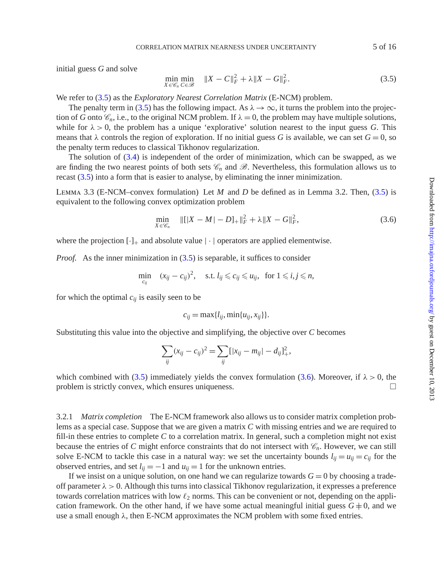initial guess *G* and solve

<span id="page-4-0"></span>
$$
\min_{X \in \mathcal{C}_n} \min_{C \in \mathcal{B}} \|X - C\|_F^2 + \lambda \|X - G\|_F^2. \tag{3.5}
$$

We refer to [\(3.5\)](#page-4-0) as the *Exploratory Nearest Correlation Matrix* (E-NCM) problem.

The penalty term in [\(3.5\)](#page-4-0) has the following impact. As  $\lambda \to \infty$ , it turns the problem into the projection of *G* onto  $\mathcal{C}_n$ , i.e., to the original NCM problem. If  $\lambda = 0$ , the problem may have multiple solutions, while for  $\lambda > 0$ , the problem has a unique 'explorative' solution nearest to the input guess *G*. This means that  $\lambda$  controls the region of exploration. If no initial guess *G* is available, we can set  $G = 0$ , so the penalty term reduces to classical Tikhonov regularization.

The solution of [\(3.4\)](#page-3-1) is independent of the order of minimization, which can be swapped, as we are finding the two nearest points of both sets  $\mathcal{C}_n$  and  $\mathcal{B}$ . Nevertheless, this formulation allows us to recast [\(3.5\)](#page-4-0) into a form that is easier to analyse, by eliminating the inner minimization.

Lemma 3.3 (E-NCM–convex formulation) Let *M* and *D* be defined as in Lemma 3.2. Then, [\(3.5\)](#page-4-0) is equivalent to the following convex optimization problem

<span id="page-4-1"></span>
$$
\min_{X \in \mathcal{C}_n} \| [|X - M| - D]_+ \|_F^2 + \lambda \| X - G \|_F^2, \tag{3.6}
$$

where the projection  $[\cdot]_+$  and absolute value  $|\cdot|$  operators are applied elementwise.

*Proof.* As the inner minimization in [\(3.5\)](#page-4-0) is separable, it suffices to consider

$$
\min_{c_{ij}} \quad (x_{ij} - c_{ij})^2, \quad \text{s.t. } l_{ij} \leqslant c_{ij} \leqslant u_{ij}, \text{ for } 1 \leqslant i, j \leqslant n,
$$

for which the optimal *cij* is easily seen to be

$$
c_{ij} = \max\{l_{ij}, \min\{u_{ij}, x_{ij}\}\}.
$$

Substituting this value into the objective and simplifying, the objective over *C* becomes

$$
\sum_{ij} (x_{ij} - c_{ij})^2 = \sum_{ij} [|x_{ij} - m_{ij}| - d_{ij}]^2_+,
$$

which combined with [\(3.5\)](#page-4-0) immediately yields the convex formulation [\(3.6\)](#page-4-1). Moreover, if  $\lambda > 0$ , the problem is strictly convex, which ensures uniqueness.  $\Box$ 

3.2.1 *Matrix completion* The E-NCM framework also allows us to consider matrix completion problems as a special case. Suppose that we are given a matrix *C* with missing entries and we are required to fill-in these entries to complete *C* to a correlation matrix. In general, such a completion might not exist because the entries of *C* might enforce constraints that do not intersect with  $\mathcal{C}_n$ . However, we can still solve E-NCM to tackle this case in a natural way: we set the uncertainty bounds  $l_{ij} = u_{ij} = c_{ij}$  for the observed entries, and set  $l_{ij} = -1$  and  $u_{ij} = 1$  for the unknown entries.

If we insist on a unique solution, on one hand we can regularize towards  $G = 0$  by choosing a tradeoff parameter  $\lambda > 0$ . Although this turns into classical Tikhonov regularization, it expresses a preference towards correlation matrices with low  $\ell_2$  norms. This can be convenient or not, depending on the application framework. On the other hand, if we have some actual meaningful initial guess  $G = 0$ , and we use a small enough  $\lambda$ , then E-NCM approximates the NCM problem with some fixed entries.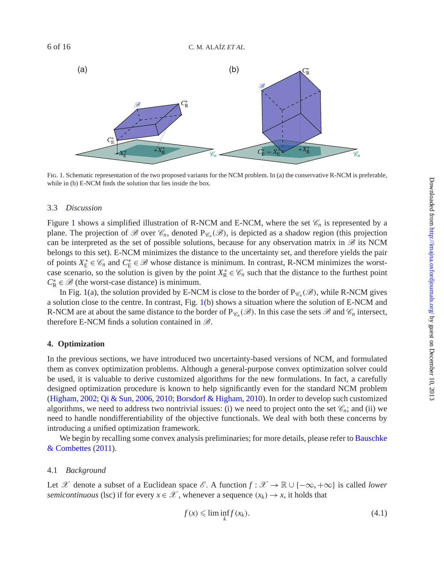

<span id="page-5-0"></span>Fig. 1. Schematic representation of the two proposed variants for the NCM problem. In (a) the conservative R-NCM is preferable, while in (b) E-NCM finds the solution that lies inside the box.

## 3.3 *Discussion*

Figure [1](#page-5-0) shows a simplified illustration of R-NCM and E-NCM, where the set  $\mathcal{C}_n$  is represented by a plane. The projection of  $\mathscr B$  over  $\mathscr C_n$ , denoted P $\mathscr C_n(\mathscr B)$ , is depicted as a shadow region (this projection can be interpreted as the set of possible solutions, because for any observation matrix in  $\mathscr{B}$  its NCM belongs to this set). E-NCM minimizes the distance to the uncertainty set, and therefore yields the pair of points  $X_E^* \in \mathcal{C}_n$  and  $C_E^* \in \mathcal{B}$  whose distance is minimum. In contrast, R-NCM minimizes the worstcase scenario, so the solution is given by the point  $X_R^* \in \mathcal{C}_n$  such that the distance to the furthest point  $C_R^* \in \mathcal{B}$  (the worst-case distance) is minimum.

In Fig. [1\(](#page-5-0)a), the solution provided by E-NCM is close to the border of  $P_{\mathscr{C}_n}(\mathscr{B})$ , while R-NCM gives a solution close to the centre. In contrast, Fig. [1\(](#page-5-0)b) shows a situation where the solution of E-NCM and R-NCM are at about the same distance to the border of  $P_{\mathscr{C}_n}(\mathscr{B})$ . In this case the sets  $\mathscr{B}$  and  $\mathscr{C}_n$  intersect, therefore E-NCM finds a solution contained in *B*.

## **4. Optimization**

In the previous sections, we have introduced two uncertainty-based versions of NCM, and formulated them as convex optimization problems. Although a general-purpose convex optimization solver could be used, it is valuable to derive customized algorithms for the new formulations. In fact, a carefully designed optimization procedure is known to help significantly even for the standard NCM problem [\(Higham](#page-14-3), [2002;](#page-14-3) [Qi & Sun](#page-15-3), [2006,](#page-15-3) [2010](#page-15-4); [Borsdorf & Higham](#page-14-6), [2010\)](#page-14-6). In order to develop such customized algorithms, we need to address two nontrivial issues: (i) we need to project onto the set  $\mathcal{C}_n$ ; and (ii) we need to handle nondifferentiability of the objective functionals. We deal with both these concerns by introducing a unified optimization framework.

We begin [by](#page-14-7) [recalling](#page-14-7) [some](#page-14-7) [convex](#page-14-7) [analysis](#page-14-7) [preliminaries;](#page-14-7) [for](#page-14-7) [more](#page-14-7) [details,](#page-14-7) [please](#page-14-7) [refer](#page-14-7) [to](#page-14-7) Bauschke & Combettes [\(2011](#page-14-7)).

## 4.1 *Background*

Let *X* denote a subset of a Euclidean space *E* . A function *f* : *X* → R ∪ {−∞, +∞} is called *lower semicontinuous* (lsc) if for every  $x \in \mathcal{X}$ , whenever a sequence  $(x_k) \to x$ , it holds that

$$
f(x) \leq \liminf_{k} f(x_k). \tag{4.1}
$$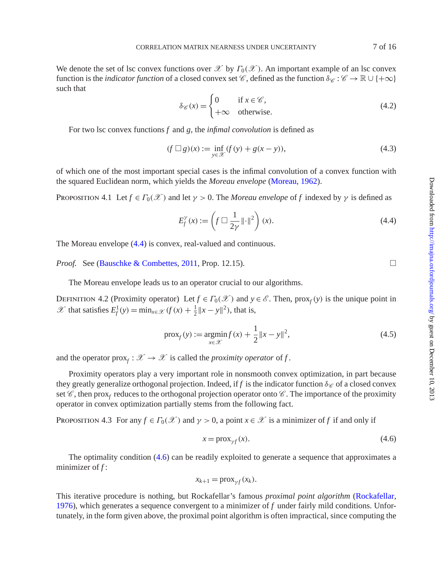We denote the set of lsc convex functions over  $\mathscr X$  by  $\Gamma_0(\mathscr X)$ . An important example of an lsc convex function is the *indicator function* of a closed convex set  $\mathscr{C}$ , defined as the function  $\delta_{\mathscr{C}} : \mathscr{C} \to \mathbb{R} \cup \{+\infty\}$ such that

$$
\delta_{\mathscr{C}}(x) = \begin{cases} 0 & \text{if } x \in \mathscr{C}, \\ +\infty & \text{otherwise.} \end{cases}
$$
 (4.2)

For two lsc convex functions *f* and *g*, the *infimal convolution* is defined as

$$
(f \square g)(x) := \inf_{y \in \mathcal{X}} (f(y) + g(x - y)), \tag{4.3}
$$

of which one of the most important special cases is the infimal convolution of a convex function with the squared Euclidean norm, which yields the *Moreau envelope* [\(Moreau](#page-15-5), [1962](#page-15-5)).

PROPOSITION 4.1 Let  $f \in \Gamma_0(\mathcal{X})$  and let  $\gamma > 0$ . The *Moreau envelope* of f indexed by  $\gamma$  is defined as

<span id="page-6-0"></span>
$$
E_f^{\gamma}(x) := \left(f \Box \frac{1}{2\gamma} ||\cdot||^2\right)(x).
$$
 (4.4)

The Moreau envelope [\(4.4\)](#page-6-0) is convex, real-valued and continuous.

*Proof.* See [\(Bauschke & Combettes](#page-14-7), [2011,](#page-14-7) Prop. 12.15). □

The Moreau envelope leads us to an operator crucial to our algorithms.

DEFINITION 4.2 (Proximity operator) Let  $f \in \Gamma_0(\mathscr{X})$  and  $y \in \mathscr{E}$ . Then, prox<sub>*f*</sub>(*y*) is the unique point in  $\mathscr{X}$  that satisfies  $E_f^1(y) = \min_{x \in \mathscr{X}} (f(x) + \frac{1}{2} ||x - y||^2)$ , that is,

$$
\text{prox}_{f}(y) := \underset{x \in \mathcal{X}}{\text{argmin}} f(x) + \frac{1}{2} \|x - y\|^2,
$$
\n(4.5)

and the operator  $prox_f : \mathcal{X} \to \mathcal{X}$  is called the *proximity operator* of *f*.

Proximity operators play a very important role in nonsmooth convex optimization, in part because they greatly generalize orthogonal projection. Indeed, if f is the indicator function  $\delta_{\mathscr{C}}$  of a closed convex set  $\mathscr{C}$ , then prox<sub>*f*</sub> reduces to the orthogonal projection operator onto  $\mathscr{C}$ . The importance of the proximity operator in convex optimization partially stems from the following fact.

PROPOSITION 4.3 For any  $f \in \Gamma_0(\mathcal{X})$  and  $\gamma > 0$ , a point  $x \in \mathcal{X}$  is a minimizer of *f* if and only if

<span id="page-6-1"></span>
$$
x = \text{prox}_{\gamma f}(x). \tag{4.6}
$$

The optimality condition [\(4.6\)](#page-6-1) can be readily exploited to generate a sequence that approximates a minimizer of *f* :

$$
x_{k+1} = \operatorname{prox}_{\gamma f}(x_k).
$$

This iterative procedure is nothing, but Rockafellar's famous *proximal point algorithm* [\(Rockafellar,](#page-15-6) [1976\)](#page-15-6), which generates a sequence convergent to a minimizer of *f* under fairly mild conditions. Unfortunately, in the form given above, the proximal point algorithm is often impractical, since computing the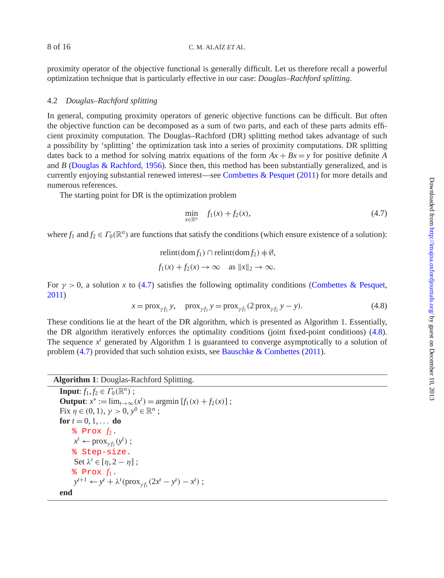proximity operator of the objective functional is generally difficult. Let us therefore recall a powerful optimization technique that is particularly effective in our case: *Douglas–Rachford splitting*.

# 4.2 *Douglas–Rachford splitting*

In general, computing proximity operators of generic objective functions can be difficult. But often the objective function can be decomposed as a sum of two parts, and each of these parts admits efficient proximity computation. The Douglas–Rachford (DR) splitting method takes advantage of such a possibility by 'splitting' the optimization task into a series of proximity computations. DR splitting dates back to a method for solving matrix equations of the form  $Ax + Bx = y$  for positive definite *A* and *B* [\(Douglas & Rachford](#page-14-8), [1956](#page-14-8)). Since then, this method has been substantially generalized, and is currently enjoying substantial renewed interest—see [Combettes & Pesquet](#page-14-9)  $(2011)$  $(2011)$  for more details and numerous references.

The starting point for DR is the optimization problem

<span id="page-7-0"></span>
$$
\min_{x \in \mathbb{R}^n} f_1(x) + f_2(x),\tag{4.7}
$$

where  $f_1$  and  $f_2 \in \Gamma_0(\mathbb{R}^n)$  are functions that satisfy the conditions (which ensure existence of a solution):

relint(dom 
$$
f_1
$$
)  $\cap$  relint(dom  $f_2$ )  $\neq \emptyset$ ,  
\n $f_1(x) + f_2(x) \to \infty$  as  $||x||_2 \to \infty$ .

For  $\gamma > 0$ , a solution *x* to [\(4.7\)](#page-7-0) satisfies the following optimality conditions [\(Combettes & Pesquet,](#page-14-9) [2011\)](#page-14-9)

<span id="page-7-1"></span>
$$
x = \text{prox}_{\gamma f_2} y, \quad \text{prox}_{\gamma f_2} y = \text{prox}_{\gamma f_1} (2 \text{prox}_{\gamma f_2} y - y).
$$
 (4.8)

These conditions lie at the heart of the DR algorithm, which is presented as Algorithm 1. Essentially, the DR algorithm iteratively enforces the optimality conditions (joint fixed-point conditions) [\(4.8\)](#page-7-1). The sequence  $x<sup>t</sup>$  generated by Algorithm 1 is guaranteed to converge asymptotically to a solution of problem [\(4.7\)](#page-7-0) provided that such solution exists, see [Bauschke & Combettes](#page-14-7) [\(2011](#page-14-7)).

## **Algorithm 1**: Douglas-Rachford Splitting.

```
Input: f_1, f_2 \in \Gamma_0(\mathbb{R}^n);
Output: x^* := \lim_{t \to \infty} (x^t) = \text{argmin} [f_1(x) + f_2(x)];
Fix \eta \in (0, 1), \gamma > 0, y^0 \in \mathbb{R}^n;
for t = 0, 1, \ldots do
      % Prox f2.
       x^t \leftarrow \text{prox}_{\gamma f_2}(y^t);
      % Step-size.
      Set \lambda^t \in [n, 2 - n];
      % Prox f1.
       y^{t+1} \leftarrow y^t + \lambda^t (prox_{\gamma f_1}(2x^t - y^t) - x^t);end
```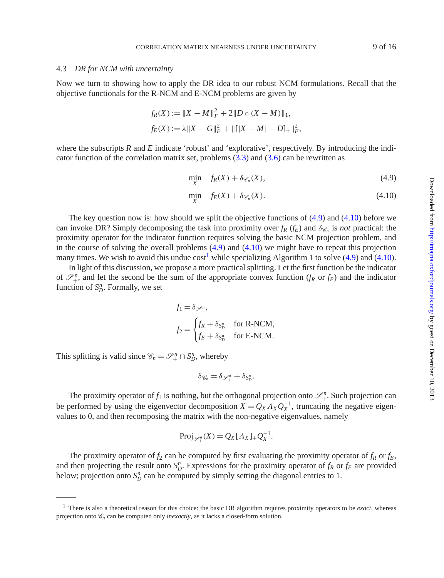### 4.3 *DR for NCM with uncertainty*

Now we turn to showing how to apply the DR idea to our robust NCM formulations. Recall that the objective functionals for the R-NCM and E-NCM problems are given by

$$
f_R(X) := \|X - M\|_F^2 + 2\|D \circ (X - M)\|_1,
$$
  

$$
f_E(X) := \lambda \|X - G\|_F^2 + \|[X - M| - D]_+\|_F^2,
$$

where the subscripts *R* and *E* indicate 'robust' and 'explorative', respectively. By introducing the indicator function of the correlation matrix set, problems  $(3.3)$  and  $(3.6)$  can be rewritten as

<span id="page-8-1"></span><span id="page-8-0"></span>
$$
\min_{X} f_R(X) + \delta_{\mathscr{C}_n}(X),\tag{4.9}
$$

$$
\min_{X} f_E(X) + \delta_{\mathscr{C}_n}(X). \tag{4.10}
$$

The key question now is: how should we split the objective functions of  $(4.9)$  and  $(4.10)$  before we can invoke DR? Simply decomposing the task into proximity over  $f_R$  ( $f_E$ ) and  $\delta_{\mathscr{C}_n}$  is *not* practical: the proximity operator for the indicator function requires solving the basic NCM projection problem, and in the course of solving the overall problems  $(4.9)$  and  $(4.10)$  we might have to repeat this projection many times. We wish to avoid this undue cost<sup>[1](#page-8-2)</sup> while specializing Algorithm 1 to solve [\(4.9\)](#page-8-0) and [\(4.10\)](#page-8-1).

In light of this discussion, we propose a more practical splitting. Let the first function be the indicator of  $\mathcal{S}_+^n$ , and let the second be the sum of the appropriate convex function ( $f_R$  or  $f_E$ ) and the indicator function of  $S_D^n$ . Formally, we set

$$
f_1 = \delta_{\mathcal{S}_+^n},
$$
  
\n
$$
f_2 = \begin{cases} f_R + \delta_{S_D^n} & \text{for R-NCM}, \\ f_E + \delta_{S_D^n} & \text{for E-NCM}. \end{cases}
$$

This splitting is valid since  $\mathcal{C}_n = \mathcal{S}_+^n \cap S_D^n$ , whereby

$$
\delta\mathcal{C}_n = \delta\mathcal{S}_+^n + \delta_{S_D^n}.
$$

The proximity operator of  $f_1$  is nothing, but the orthogonal projection onto  $\mathcal{S}_+^n$ . Such projection can be performed by using the eigenvector decomposition  $X = Q_X \Lambda_X Q_X^{-1}$ , truncating the negative eigenvalues to 0, and then recomposing the matrix with the non-negative eigenvalues, namely

$$
\operatorname{Proj}_{\mathscr{S}_+^n}(X)=Q_X[\Lambda_X]_+Q_X^{-1}.
$$

The proximity operator of  $f_2$  can be computed by first evaluating the proximity operator of  $f_R$  or  $f_E$ , and then projecting the result onto  $S_D^n$ . Expressions for the proximity operator of  $f_R$  or  $f_E$  are provided below; projection onto  $S_D^n$  can be computed by simply setting the diagonal entries to 1.

<span id="page-8-2"></span><sup>1</sup> There is also a theoretical reason for this choice: the basic DR algorithm requires proximity operators to be *exact*, whereas projection onto  $\mathcal{C}_n$  can be computed only *inexactly*, as it lacks a closed-form solution.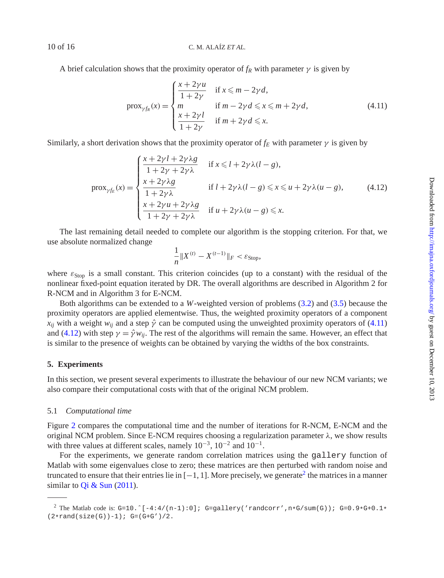A brief calculation shows that the proximity operator of  $f_R$  with parameter  $\gamma$  is given by

<span id="page-9-0"></span>
$$
\text{prox}_{\gamma f_R}(x) = \begin{cases} \frac{x + 2\gamma u}{1 + 2\gamma} & \text{if } x \le m - 2\gamma d, \\ m & \text{if } m - 2\gamma d \le x \le m + 2\gamma d, \\ \frac{x + 2\gamma l}{1 + 2\gamma} & \text{if } m + 2\gamma d \le x. \end{cases} \tag{4.11}
$$

Similarly, a short derivation shows that the proximity operator of  $f_E$  with parameter  $\gamma$  is given by

<span id="page-9-1"></span>
$$
\text{prox}_{\gamma f_E}(x) = \begin{cases} \frac{x + 2\gamma l + 2\gamma \lambda g}{1 + 2\gamma + 2\gamma \lambda} & \text{if } x \le l + 2\gamma \lambda (l - g), \\ \frac{x + 2\gamma \lambda g}{1 + 2\gamma \lambda} & \text{if } l + 2\gamma \lambda (l - g) \le x \le u + 2\gamma \lambda (u - g), \\ \frac{x + 2\gamma u + 2\gamma \lambda g}{1 + 2\gamma + 2\gamma \lambda} & \text{if } u + 2\gamma \lambda (u - g) \le x. \end{cases} \tag{4.12}
$$

The last remaining detail needed to complete our algorithm is the stopping criterion. For that, we use absolute normalized change

$$
\frac{1}{n}||X^{(t)} - X^{(t-1)}||_F < \varepsilon_{\text{Stop}},
$$

where  $\varepsilon_{\text{Stop}}$  is a small constant. This criterion coincides (up to a constant) with the residual of the nonlinear fixed-point equation iterated by DR. The overall algorithms are described in Algorithm 2 for R-NCM and in Algorithm 3 for E-NCM.

Both algorithms can be extended to a *W*-weighted version of problems [\(3.2\)](#page-2-2) and [\(3.5\)](#page-4-0) because the proximity operators are applied elementwise. Thus, the weighted proximity operators of a component *x<sub>ij</sub>* with a weight  $w_{ij}$  and a step  $\hat{\gamma}$  can be computed using the unweighted proximity operators of [\(4.11\)](#page-9-0) and [\(4.12\)](#page-9-1) with step  $\gamma = \hat{\gamma}w_{ii}$ . The rest of the algorithms will remain the same. However, an effect that is similar to the presence of weights can be obtained by varying the widths of the box constraints.

## **5. Experiments**

In this section, we present several experiments to illustrate the behaviour of our new NCM variants; we also compare their computational costs with that of the original NCM problem.

## 5.1 *Computational time*

Figure [2](#page-11-0) compares the computational time and the number of iterations for R-NCM, E-NCM and the original NCM problem. Since E-NCM requires choosing a regularization parameter  $\lambda$ , we show results with three values at different scales, namely  $10^{-3}$ ,  $10^{-2}$  and  $10^{-1}$ .

For the experiments, we generate random correlation matrices using the gallery function of Matlab with some eigenvalues close to zero; these matrices are then perturbed with random noise and truncated to ensure that their entries lie in  $[-1, 1]$ . More precisely, we generate<sup>2</sup> the matrices in a manner similar to  $Qi$  & Sun [\(2011\)](#page-15-7).

<span id="page-9-2"></span><sup>&</sup>lt;sup>2</sup> The Matlab code is: G=10.^[-4:4/(n-1):0]; G=gallery('randcorr',n\*G/sum(G)); G=0.9\*G+0.1\*  $(2*rand(size(G))-1); G=(G+G')/2.$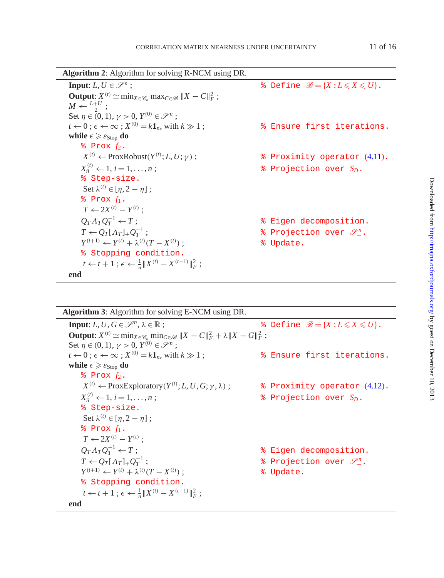**Algorithm 2**: Algorithm for solving R-NCM using DR.

```
Input: L, U \in \mathcal{S}^n; \qquad \qquad \text{8 Define } \mathcal{B} = \{X : L \leqslant X \leqslant U\}.Output: X^{(t)} \simeq \min_{X \in \mathscr{C}_n} \max_{C \in \mathscr{B}} \|X - C\|_F^2;
M \leftarrow \frac{L+U}{2};
Set \eta \in (0, 1), \gamma > 0, Y^{(0)} \in \mathcal{S}^n;
t \leftarrow 0; \epsilon \leftarrow \infty; X^{(0)} = k\mathbf{1}_n, with k \gg 1; % Ensure first iterations.
while \epsilon \geqslant \varepsilon_{\text{Stop}} do
     % Prox f2.
     X^{(t)} \leftarrow \text{ProxRobust}(Y^{(t)}; L, U; \gamma);
                                                                                       ; L, U; γ ) ; % Proximity operator (4.11).
     X_{ii}^{(t)} \leftarrow 1, i = 1, \ldots, n;ii ← 1, i = 1, ... , n ; % Projection over SD.
     % Step-size.
      Set \lambda^{(t)} \in [\eta, 2 - \eta];
     % Prox f1.
      T ← 2X^{(t)} - Y^{(t)} ;
     Q_T\Lambda_TQ_T^{-1} \leftarrow T;
                                                                                       T ← T ; % Eigen decomposition.
     T \leftarrow Q_T[A_T]_+ Q_T^{-1};
                               T^{\frac{-1}{T}}; \frac{1}{T} \frac{1}{T} \frac{1}{T} \frac{1}{T} \frac{1}{T} \frac{1}{T} \frac{1}{T} \frac{1}{T} \frac{1}{T}Y<sup>(t+1)</sup> ← Y<sup>(t)</sup> + λ<sup>(t)</sup>(T − X<sup>(t)</sup>)
                                                                                       % Update.
     % Stopping condition.
       t \leftarrow t + 1; \epsilon \leftarrow \frac{1}{n} \| X^{(t)} - X^{(t-1)} \|_F^2;
end
```

| Algorithm 3: Algorithm for solving E-NCM using DR.                                                                          |                                                    |
|-----------------------------------------------------------------------------------------------------------------------------|----------------------------------------------------|
| Input: $L, U, G \in \mathcal{S}^n, \lambda \in \mathbb{R}$ ;                                                                | % Define $\mathscr{B} = \{X : L \leq X \leq U\}$ . |
| <b>Output:</b> $X^{(t)} \simeq \min_{X \in \mathscr{C}_n} \min_{C \in \mathscr{B}}   X - C  _F^2 + \lambda   X - G  _F^2$ ; |                                                    |
| Set $\eta \in (0, 1), \gamma > 0, Y^{(0)} \in \mathcal{S}^n$ ;                                                              |                                                    |
| $t \leftarrow 0$ ; $\epsilon \leftarrow \infty$ ; $X^{(0)} = k \mathbf{1}_n$ , with $k \gg 1$ ;                             | % Ensure first iterations.                         |
| while $\epsilon \geqslant \varepsilon_{\text{Stop}}$ do                                                                     |                                                    |
| $\epsilon$ Prox $f_2$ .                                                                                                     |                                                    |
| $X^{(t)} \leftarrow \text{ProxExploratory}(Y^{(t)}; L, U, G; \gamma, \lambda);$                                             | % Proximity operator (4.12).                       |
| $X_{ii}^{(t)} \leftarrow 1, i = 1, \ldots, n;$                                                                              | % Projection over $S_D$ .                          |
| % Step-size.                                                                                                                |                                                    |
| Set $\lambda^{(t)} \in [n, 2 - n]$ ;                                                                                        |                                                    |
| $\epsilon$ Prox $f_1$ .                                                                                                     |                                                    |
| $T \leftarrow 2X^{(t)} - Y^{(t)}$ :                                                                                         |                                                    |
| $Q_T A_T Q_T^{-1} \leftarrow T$ ;                                                                                           | % Eigen decomposition.                             |
| $T \leftarrow Q_T[\Lambda_T]_+ Q_T^{-1}$ ;                                                                                  | % Projection over $\mathscr{S}^n_+$ .              |
| $Y^{(t+1)} \leftarrow Y^{(t)} + \lambda^{(t)}(T - X^{(t)})$ :                                                               | % Update.                                          |
| % Stopping condition.                                                                                                       |                                                    |
| $t \leftarrow t + 1$ ; $\epsilon \leftarrow \frac{1}{n} \  X^{(t)} - X^{(t-1)} \ _F^2$ ;                                    |                                                    |
| end                                                                                                                         |                                                    |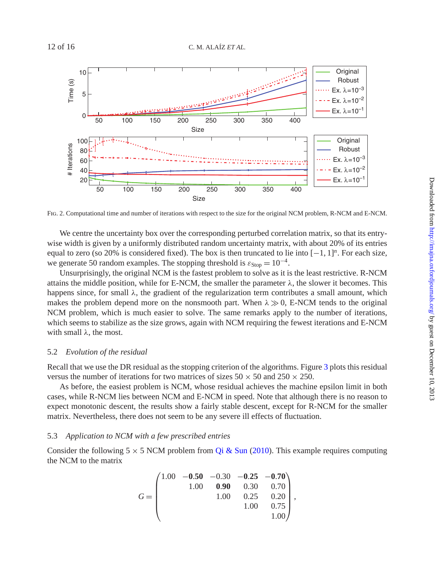

<span id="page-11-0"></span>Fig. 2. Computational time and number of iterations with respect to the size for the original NCM problem, R-NCM and E-NCM.

We centre the uncertainty box over the corresponding perturbed correlation matrix, so that its entrywise width is given by a uniformly distributed random uncertainty matrix, with about 20% of its entries equal to zero (so 20% is considered fixed). The box is then truncated to lie into [−1, 1]*<sup>n</sup>*. For each size, we generate 50 random examples. The stopping threshold is  $\varepsilon_{\text{Stop}} = 10^{-4}$ .

Unsurprisingly, the original NCM is the fastest problem to solve as it is the least restrictive. R-NCM attains the middle position, while for E-NCM, the smaller the parameter  $\lambda$ , the slower it becomes. This happens since, for small  $\lambda$ , the gradient of the regularization term contributes a small amount, which makes the problem depend more on the nonsmooth part. When  $\lambda \gg 0$ , E-NCM tends to the original NCM problem, which is much easier to solve. The same remarks apply to the number of iterations, which seems to stabilize as the size grows, again with NCM requiring the fewest iterations and E-NCM with small  $\lambda$ , the most.

## 5.2 *Evolution of the residual*

Recall that we use the DR residual as the stopping criterion of the algorithms. Figure [3](#page-12-0) plots this residual versus the number of iterations for two matrices of sizes  $50 \times 50$  and  $250 \times 250$ .

As before, the easiest problem is NCM, whose residual achieves the machine epsilon limit in both cases, while R-NCM lies between NCM and E-NCM in speed. Note that although there is no reason to expect monotonic descent, the results show a fairly stable descent, except for R-NCM for the smaller matrix. Nevertheless, there does not seem to be any severe ill effects of fluctuation.

## 5.3 *Application to NCM with a few prescribed entries*

Consider the following  $5 \times 5$  NCM problem from [Qi & Sun](#page-15-4) [\(2010\)](#page-15-4). This example requires computing the NCM to the matrix

$$
G = \begin{pmatrix} 1.00 & -0.50 & -0.30 & -0.25 & -0.70 \\ 1.00 & 0.90 & 0.30 & 0.70 \\ 1.00 & 0.25 & 0.20 \\ 1.00 & 0.75 & 1.00 \end{pmatrix},
$$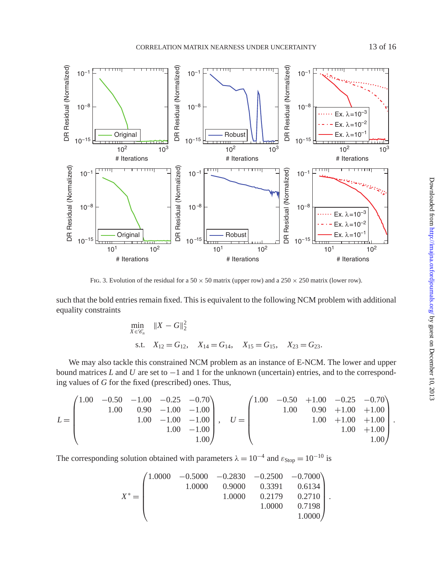

<span id="page-12-0"></span>Fig. 3. Evolution of the residual for a  $50 \times 50$  matrix (upper row) and a  $250 \times 250$  matrix (lower row).

such that the bold entries remain fixed. This is equivalent to the following NCM problem with additional equality constraints

$$
\min_{X \in \mathcal{C}_n} \|X - G\|_2^2
$$
\n
$$
\text{s.t.} \quad X_{12} = G_{12}, \quad X_{14} = G_{14}, \quad X_{15} = G_{15}, \quad X_{23} = G_{23}.
$$

We may also tackle this constrained NCM problem as an instance of E-NCM. The lower and upper bound matrices *L* and *U* are set to −1 and 1 for the unknown (uncertain) entries, and to the corresponding values of *G* for the fixed (prescribed) ones. Thus,

$$
L = \begin{pmatrix} 1.00 & -0.50 & -1.00 & -0.25 & -0.70 \\ 1.00 & 0.90 & -1.00 & -1.00 \\ 1.00 & -1.00 & -1.00 \\ 1.00 & -1.00 & 1.00 \end{pmatrix}, \quad U = \begin{pmatrix} 1.00 & -0.50 & +1.00 & -0.25 & -0.70 \\ 1.00 & 0.90 & +1.00 & +1.00 \\ 1.00 & +1.00 & +1.00 \\ 1.00 & +1.00 & 1.00 \end{pmatrix}.
$$

The corresponding solution obtained with parameters  $\lambda = 10^{-4}$  and  $\varepsilon_{\text{Stop}} = 10^{-10}$  is

$$
X^* = \begin{pmatrix} 1.0000 & -0.5000 & -0.2830 & -0.2500 & -0.7000 \\ 1.0000 & 0.9000 & 0.3391 & 0.6134 \\ 1.0000 & 0.2179 & 0.2710 \\ 1.0000 & 0.7198 \\ 1.0000 & 1.0000 \end{pmatrix}.
$$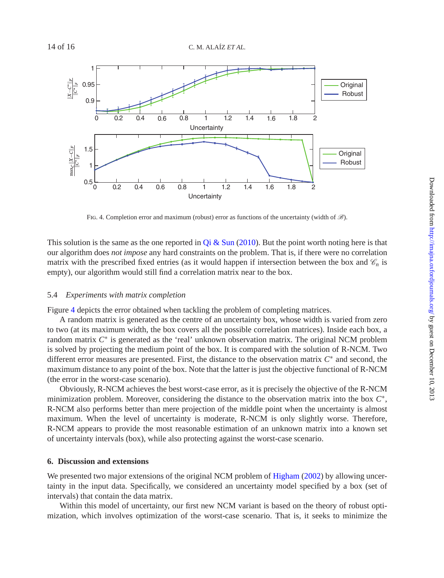

<span id="page-13-0"></span>Fig. 4. Completion error and maximum (robust) error as functions of the uncertainty (width of *B*).

This solution is the same as the one reported in  $\overline{Qi} \&$  Sun [\(2010\)](#page-15-4). But the point worth noting here is that our algorithm does *not impose* any hard constraints on the problem. That is, if there were no correlation matrix with the prescribed fixed entries (as it would happen if intersection between the box and  $\mathcal{C}_n$  is empty), our algorithm would still find a correlation matrix near to the box.

## 5.4 *Experiments with matrix completion*

Figure [4](#page-13-0) depicts the error obtained when tackling the problem of completing matrices.

A random matrix is generated as the centre of an uncertainty box, whose width is varied from zero to two (at its maximum width, the box covers all the possible correlation matrices). Inside each box, a random matrix *C*<sup>∗</sup> is generated as the 'real' unknown observation matrix. The original NCM problem is solved by projecting the medium point of the box. It is compared with the solution of R-NCM. Two different error measures are presented. First, the distance to the observation matrix *C*<sup>∗</sup> and second, the maximum distance to any point of the box. Note that the latter is just the objective functional of R-NCM (the error in the worst-case scenario).

Obviously, R-NCM achieves the best worst-case error, as it is precisely the objective of the R-NCM minimization problem. Moreover, considering the distance to the observation matrix into the box *C*<sup>∗</sup>, R-NCM also performs better than mere projection of the middle point when the uncertainty is almost maximum. When the level of uncertainty is moderate, R-NCM is only slightly worse. Therefore, R-NCM appears to provide the most reasonable estimation of an unknown matrix into a known set of uncertainty intervals (box), while also protecting against the worst-case scenario.

## **6. Discussion and extensions**

We presented two major extensions of the original NCM problem of [Higham](#page-14-3) [\(2002](#page-14-3)) by allowing uncertainty in the input data. Specifically, we considered an uncertainty model specified by a box (set of intervals) that contain the data matrix.

Within this model of uncertainty, our first new NCM variant is based on the theory of robust optimization, which involves optimization of the worst-case scenario. That is, it seeks to minimize the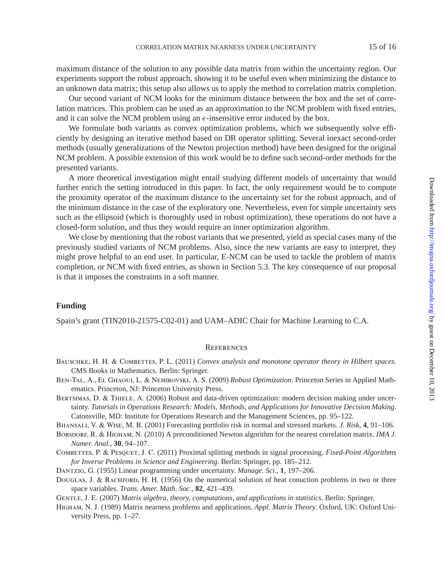maximum distance of the solution to any possible data matrix from within the uncertainty region. Our experiments support the robust approach, showing it to be useful even when minimizing the distance to an unknown data matrix; this setup also allows us to apply the method to correlation matrix completion.

Our second variant of NCM looks for the minimum distance between the box and the set of correlation matrices. This problem can be used as an approximation to the NCM problem with fixed entries, and it can solve the NCM problem using an  $\epsilon$ -insensitive error induced by the box.

We formulate both variants as convex optimization problems, which we subsequently solve efficiently by designing an iterative method based on DR operator splitting. Several inexact second-order methods (usually generalizations of the Newton projection method) have been designed for the original NCM problem. A possible extension of this work would be to define such second-order methods for the presented variants.

A more theoretical investigation might entail studying different models of uncertainty that would further enrich the setting introduced in this paper. In fact, the only requirement would be to compute the proximity operator of the maximum distance to the uncertainty set for the robust approach, and of the minimum distance in the case of the exploratory one. Nevertheless, even for simple uncertainty sets such as the ellipsoid (which is thoroughly used in robust optimization), these operations do not have a closed-form solution, and thus they would require an inner optimization algorithm.

We close by mentioning that the robust variants that we presented, yield as special cases many of the previously studied variants of NCM problems. Also, since the new variants are easy to interpret, they might prove helpful to an end user. In particular, E-NCM can be used to tackle the problem of matrix completion, or NCM with fixed entries, as shown in Section 5.3. The key consequence of our proposal is that it imposes the constraints in a soft manner.

## **Funding**

Spain's grant (TIN2010-21575-C02-01) and UAM–ADIC Chair for Machine Learning to C.A.

### **REFERENCES**

- <span id="page-14-7"></span>BAUSCHKE, H. H. & COMBETTES, P. L. (2011) *Convex analysis and monotone operator theory in Hilbert spaces*. CMS Books in Mathematics. Berlin: Springer.
- <span id="page-14-2"></span>Ben-Tal, A., El Ghaoui, L. & Nemirovski, A. S. (2009) *Robust Optimization*. Princeton Series in Applied Mathematics. Princeton, NJ: Princeton University Press.
- <span id="page-14-1"></span>BERTSIMAS, D. & THIELE, A. (2006) Robust and data-driven optimization: modern decision making under uncertainty. *Tutorials in Operations Research: Models, Methods, and Applications for Innovative Decision Making*. Catonsville, MD: Institute for Operations Research and the Management Sciences, pp. 95–122.

<span id="page-14-5"></span>Bhansali, V. & Wise, M. B. (2001) Forecasting portfolio risk in normal and stressed markets. *J. Risk*, **4**, 91–106.

<span id="page-14-6"></span>BORSDORF, R. & HIGHAM, N. (2010) A preconditioned Newton algorithm for the nearest correlation matrix. *IMA J. Numer. Anal.*, **30**, 94–107.

<span id="page-14-9"></span>Combettes, P. & Pesquet, J. C. (2011) Proximal splitting methods in signal processing. *Fixed-Point Algorithms for Inverse Problems in Science and Engineering*. Berlin: Springer, pp. 185–212.

<span id="page-14-0"></span>Dantzig, G. (1955) Linear programming under uncertainty. *Manage. Sci.*, **1**, 197–206.

<span id="page-14-8"></span>DOUGLAS, J. & RACHFORD, H. H. (1956) On the numerical solution of heat conuction problems in two or three space variables. *Trans. Amer. Math. Soc.*, **82**, 421–439.

<span id="page-14-4"></span>Gentle, J. E. (2007) *Matrix algebra, theory, computations, and applications in statistics*. Berlin: Springer.

<span id="page-14-3"></span>Higham, N. J. (1989) Matrix nearness problems and applications. *Appl. Matrix Theory*. Oxford, UK: Oxford University Press, pp. 1–27.